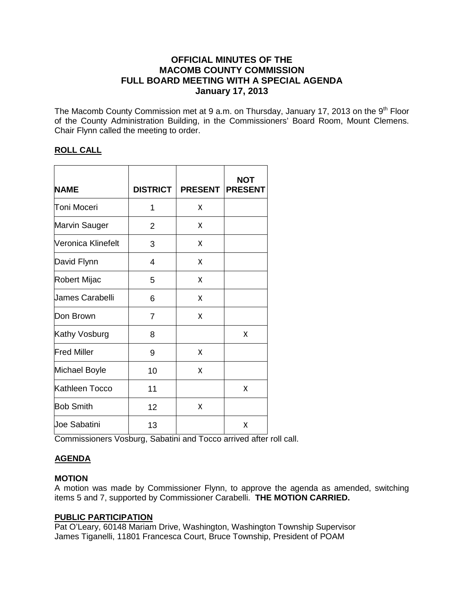# **OFFICIAL MINUTES OF THE MACOMB COUNTY COMMISSION FULL BOARD MEETING WITH A SPECIAL AGENDA January 17, 2013**

The Macomb County Commission met at 9 a.m. on Thursday, January 17, 2013 on the 9<sup>th</sup> Floor of the County Administration Building, in the Commissioners' Board Room, Mount Clemens. Chair Flynn called the meeting to order.

# **ROLL CALL**

| <b>NAME</b>            | <b>DISTRICT</b> | <b>PRESENT</b> | <b>NOT</b><br><b>PRESENT</b> |
|------------------------|-----------------|----------------|------------------------------|
| Toni Moceri            | 1               | x              |                              |
| Marvin Sauger          | $\overline{2}$  | x              |                              |
| Veronica Klinefelt     | 3               | Χ              |                              |
| David Flynn            | 4               | X              |                              |
| Robert Mijac           | 5               | X              |                              |
| <b>James Carabelli</b> | 6               | X              |                              |
| Don Brown              | $\overline{7}$  | x              |                              |
| Kathy Vosburg          | 8               |                | X                            |
| <b>Fred Miller</b>     | 9               | x              |                              |
| Michael Boyle          | 10              | X              |                              |
| Kathleen Tocco         | 11              |                | X                            |
| <b>Bob Smith</b>       | 12              | X              |                              |
| Joe Sabatini           | 13              |                | Χ                            |

Commissioners Vosburg, Sabatini and Tocco arrived after roll call.

# **AGENDA**

# **MOTION**

A motion was made by Commissioner Flynn, to approve the agenda as amended, switching items 5 and 7, supported by Commissioner Carabelli. **THE MOTION CARRIED.** 

# **PUBLIC PARTICIPATION**

Pat O'Leary, 60148 Mariam Drive, Washington, Washington Township Supervisor James Tiganelli, 11801 Francesca Court, Bruce Township, President of POAM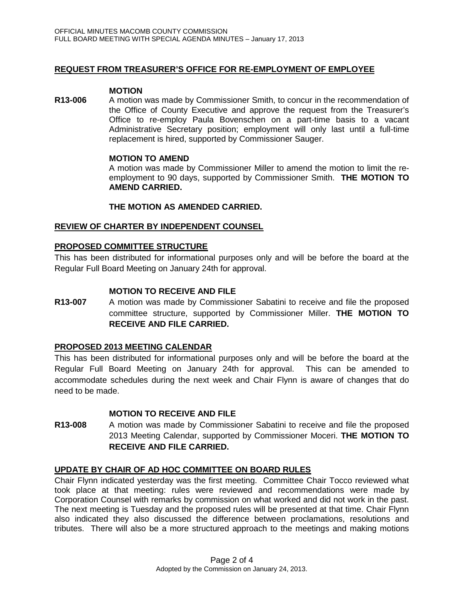# **REQUEST FROM TREASURER'S OFFICE FOR RE-EMPLOYMENT OF EMPLOYEE**

#### **MOTION**

**R13-006** A motion was made by Commissioner Smith, to concur in the recommendation of the Office of County Executive and approve the request from the Treasurer's Office to re-employ Paula Bovenschen on a part-time basis to a vacant Administrative Secretary position; employment will only last until a full-time replacement is hired, supported by Commissioner Sauger.

### **MOTION TO AMEND**

A motion was made by Commissioner Miller to amend the motion to limit the reemployment to 90 days, supported by Commissioner Smith. **THE MOTION TO AMEND CARRIED.**

### **THE MOTION AS AMENDED CARRIED.**

### **REVIEW OF CHARTER BY INDEPENDENT COUNSEL**

### **PROPOSED COMMITTEE STRUCTURE**

This has been distributed for informational purposes only and will be before the board at the Regular Full Board Meeting on January 24th for approval.

### **MOTION TO RECEIVE AND FILE**

**R13-007** A motion was made by Commissioner Sabatini to receive and file the proposed committee structure, supported by Commissioner Miller. **THE MOTION TO RECEIVE AND FILE CARRIED.**

#### **PROPOSED 2013 MEETING CALENDAR**

This has been distributed for informational purposes only and will be before the board at the Regular Full Board Meeting on January 24th for approval. This can be amended to accommodate schedules during the next week and Chair Flynn is aware of changes that do need to be made.

#### **MOTION TO RECEIVE AND FILE**

**R13-008** A motion was made by Commissioner Sabatini to receive and file the proposed 2013 Meeting Calendar, supported by Commissioner Moceri. **THE MOTION TO RECEIVE AND FILE CARRIED.**

#### **UPDATE BY CHAIR OF AD HOC COMMITTEE ON BOARD RULES**

Chair Flynn indicated yesterday was the first meeting. Committee Chair Tocco reviewed what took place at that meeting: rules were reviewed and recommendations were made by Corporation Counsel with remarks by commission on what worked and did not work in the past. The next meeting is Tuesday and the proposed rules will be presented at that time. Chair Flynn also indicated they also discussed the difference between proclamations, resolutions and tributes. There will also be a more structured approach to the meetings and making motions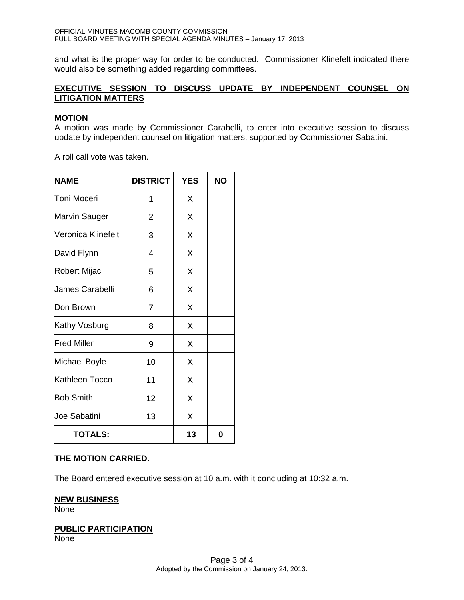and what is the proper way for order to be conducted. Commissioner Klinefelt indicated there would also be something added regarding committees.

# **EXECUTIVE SESSION TO DISCUSS UPDATE BY INDEPENDENT COUNSEL ON LITIGATION MATTERS**

#### **MOTION**

A motion was made by Commissioner Carabelli, to enter into executive session to discuss update by independent counsel on litigation matters, supported by Commissioner Sabatini.

A roll call vote was taken.

| <b>NAME</b>         | <b>DISTRICT</b> | <b>YES</b> | <b>NO</b> |
|---------------------|-----------------|------------|-----------|
| Toni Moceri         | 1               | X          |           |
| Marvin Sauger       | $\overline{2}$  | X          |           |
| Veronica Klinefelt  | 3               | X          |           |
| David Flynn         | 4               | X          |           |
| Robert Mijac        | 5               | X          |           |
| Uames Carabelli     | 6               | X          |           |
| Don Brown           | 7               | X          |           |
| Kathy Vosburg       | 8               | X          |           |
| <b>Fred Miller</b>  | 9               | X          |           |
| Michael Boyle       | 10              | X          |           |
| Kathleen Tocco      | 11              | X          |           |
| <b>Bob Smith</b>    | 12              | X          |           |
| <b>Joe Sabatini</b> | 13              | X          |           |
| <b>TOTALS:</b>      |                 | 13         | 0         |

#### **THE MOTION CARRIED.**

The Board entered executive session at 10 a.m. with it concluding at 10:32 a.m.

#### **NEW BUSINESS**

None

#### **PUBLIC PARTICIPATION**

None